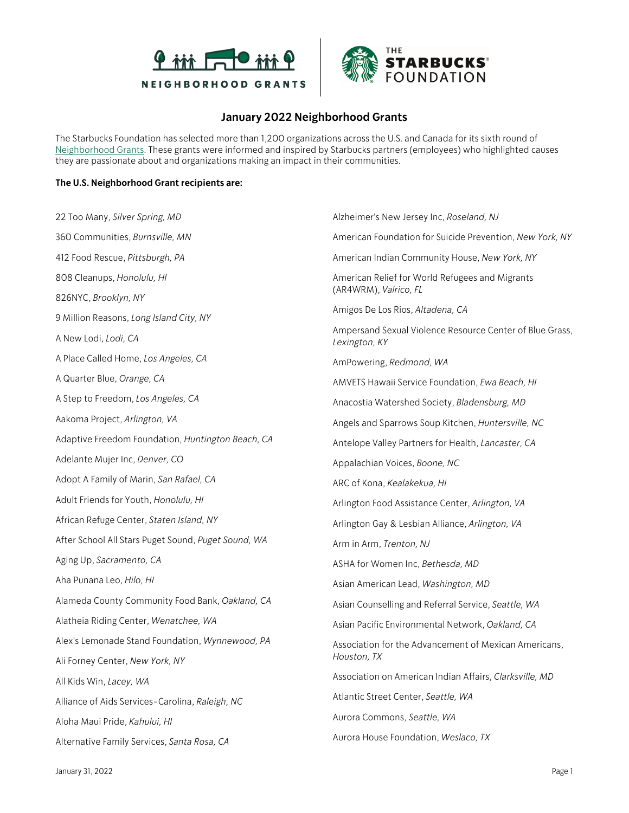



## **January 2022 Neighborhood Grants**

The Starbucks Foundation has selected more than 1,200 organizations across the U.S. and Canada for its sixth round of [Neighborhood Grants.](https://stories.starbucks.com/press/2021/strengthening-communities-through-neighborhood-grants/) These grants were informed and inspired by Starbucks partners (employees) who highlighted causes they are passionate about and organizations making an impact in their communities.

## **The U.S. Neighborhood Grant recipients are:**

| 22 Too Many, Silver Spring, MD                      | Alzheimer's New Jersey Inc, Roseland, NJ                                  |
|-----------------------------------------------------|---------------------------------------------------------------------------|
| 360 Communities, Burnsville, MN                     | American Foundation for Suicide Prevention, New York, NY                  |
| 412 Food Rescue, Pittsburgh, PA                     | American Indian Community House, New York, NY                             |
| 808 Cleanups, Honolulu, HI                          | American Relief for World Refugees and Migrants<br>(AR4WRM), Valrico, FL  |
| 826NYC, Brooklyn, NY                                |                                                                           |
| 9 Million Reasons, Long Island City, NY             | Amigos De Los Rios, Altadena, CA                                          |
| A New Lodi, Lodi, CA                                | Ampersand Sexual Violence Resource Center of Blue Grass,<br>Lexington, KY |
| A Place Called Home, Los Angeles, CA                | AmPowering, Redmond, WA                                                   |
| A Quarter Blue, Orange, CA                          | AMVETS Hawaii Service Foundation, Ewa Beach, HI                           |
| A Step to Freedom, Los Angeles, CA                  | Anacostia Watershed Society, Bladensburg, MD                              |
| Aakoma Project, Arlington, VA                       | Angels and Sparrows Soup Kitchen, Huntersville, NC                        |
| Adaptive Freedom Foundation, Huntington Beach, CA   | Antelope Valley Partners for Health, Lancaster, CA                        |
| Adelante Mujer Inc, Denver, CO                      | Appalachian Voices, Boone, NC                                             |
| Adopt A Family of Marin, San Rafael, CA             | ARC of Kona, Kealakekua, HI                                               |
| Adult Friends for Youth, Honolulu, HI               | Arlington Food Assistance Center, Arlington, VA                           |
| African Refuge Center, Staten Island, NY            | Arlington Gay & Lesbian Alliance, Arlington, VA                           |
| After School All Stars Puget Sound, Puget Sound, WA | Arm in Arm, Trenton, NJ                                                   |
| Aging Up, Sacramento, CA                            | ASHA for Women Inc, Bethesda, MD                                          |
| Aha Punana Leo, Hilo, HI                            | Asian American Lead, Washington, MD                                       |
| Alameda County Community Food Bank, Oakland, CA     | Asian Counselling and Referral Service, Seattle, WA                       |
| Alatheia Riding Center, Wenatchee, WA               | Asian Pacific Environmental Network, Oakland, CA                          |
| Alex's Lemonade Stand Foundation, Wynnewood, PA     | Association for the Advancement of Mexican Americans,<br>Houston, TX      |
| Ali Forney Center, New York, NY                     |                                                                           |
| All Kids Win, Lacey, WA                             | Association on American Indian Affairs, Clarksville, MD                   |
| Alliance of Aids Services-Carolina, Raleigh, NC     | Atlantic Street Center, Seattle, WA                                       |
| Aloha Maui Pride, Kahului, HI                       | Aurora Commons, Seattle, WA                                               |
| Alternative Family Services, Santa Rosa, CA         | Aurora House Foundation, Weslaco, TX                                      |

January 31, 2022 Page 1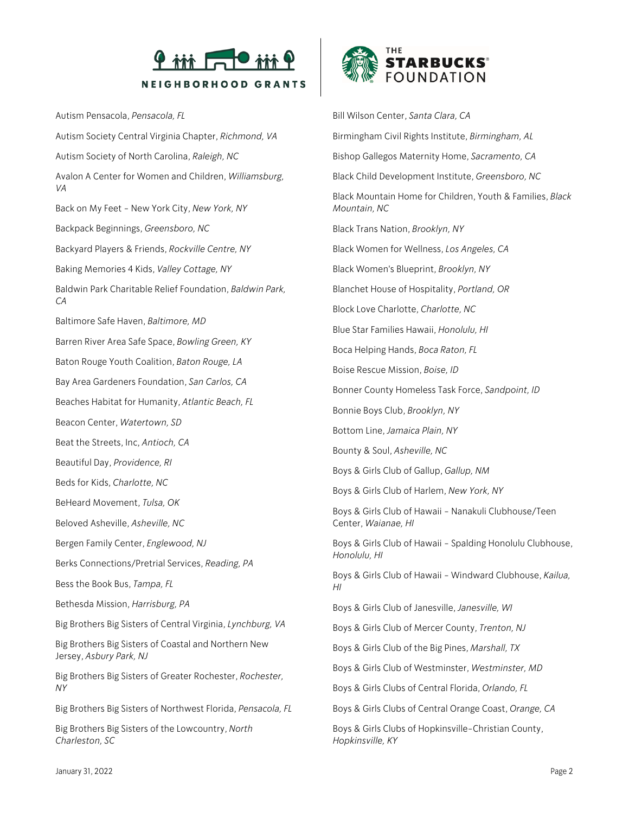

Autism Pensacola, *Pensacola, FL* Autism Society Central Virginia Chapter, *Richmond, VA* Autism Society of North Carolina, *Raleigh, NC* Avalon A Center for Women and Children, *Williamsburg, VA* Back on My Feet - New York City, *New York, NY* Backpack Beginnings, *Greensboro, NC* Backyard Players & Friends, *Rockville Centre, NY* Baking Memories 4 Kids, *Valley Cottage, NY* Baldwin Park Charitable Relief Foundation, *Baldwin Park, CA* Baltimore Safe Haven, *Baltimore, MD* Barren River Area Safe Space, *Bowling Green, KY* Baton Rouge Youth Coalition, *Baton Rouge, LA* Bay Area Gardeners Foundation, *San Carlos, CA* Beaches Habitat for Humanity, *Atlantic Beach, FL* Beacon Center, *Watertown, SD* Beat the Streets, Inc, *Antioch, CA* Beautiful Day, *Providence, RI* Beds for Kids, *Charlotte, NC* BeHeard Movement, *Tulsa, OK* Beloved Asheville, *Asheville, NC* Bergen Family Center, *Englewood, NJ* Berks Connections/Pretrial Services, *Reading, PA* Bess the Book Bus, *Tampa, FL* Bethesda Mission, *Harrisburg, PA* Big Brothers Big Sisters of Central Virginia, *Lynchburg, VA* Big Brothers Big Sisters of Coastal and Northern New Jersey, *Asbury Park, NJ* Big Brothers Big Sisters of Greater Rochester, *Rochester, NY*

Big Brothers Big Sisters of Northwest Florida, *Pensacola, FL*

Big Brothers Big Sisters of the Lowcountry, *North Charleston, SC*



Bill Wilson Center, *Santa Clara, CA* Birmingham Civil Rights Institute, *Birmingham, AL* Bishop Gallegos Maternity Home, *Sacramento, CA* Black Child Development Institute, *Greensboro, NC* Black Mountain Home for Children, Youth & Families, *Black Mountain, NC* Black Trans Nation, *Brooklyn, NY* Black Women for Wellness, *Los Angeles, CA* Black Women's Blueprint, *Brooklyn, NY* Blanchet House of Hospitality, *Portland, OR* Block Love Charlotte, *Charlotte, NC* Blue Star Families Hawaii, *Honolulu, HI* Boca Helping Hands, *Boca Raton, FL* Boise Rescue Mission, *Boise, ID* Bonner County Homeless Task Force, *Sandpoint, ID* Bonnie Boys Club, *Brooklyn, NY* Bottom Line, *Jamaica Plain, NY* Bounty & Soul, *Asheville, NC* Boys & Girls Club of Gallup, *Gallup, NM* Boys & Girls Club of Harlem, *New York, NY* Boys & Girls Club of Hawaii - Nanakuli Clubhouse/Teen Center, *Waianae, HI* Boys & Girls Club of Hawaii - Spalding Honolulu Clubhouse, *Honolulu, HI* Boys & Girls Club of Hawaii - Windward Clubhouse, *Kailua, HI* Boys & Girls Club of Janesville, *Janesville, WI* Boys & Girls Club of Mercer County, *Trenton, NJ* Boys & Girls Club of the Big Pines, *Marshall, TX* Boys & Girls Club of Westminster, *Westminster, MD* Boys & Girls Clubs of Central Florida, *Orlando, FL* Boys & Girls Clubs of Central Orange Coast, *Orange, CA* Boys & Girls Clubs of Hopkinsville-Christian County,

*Hopkinsville, KY*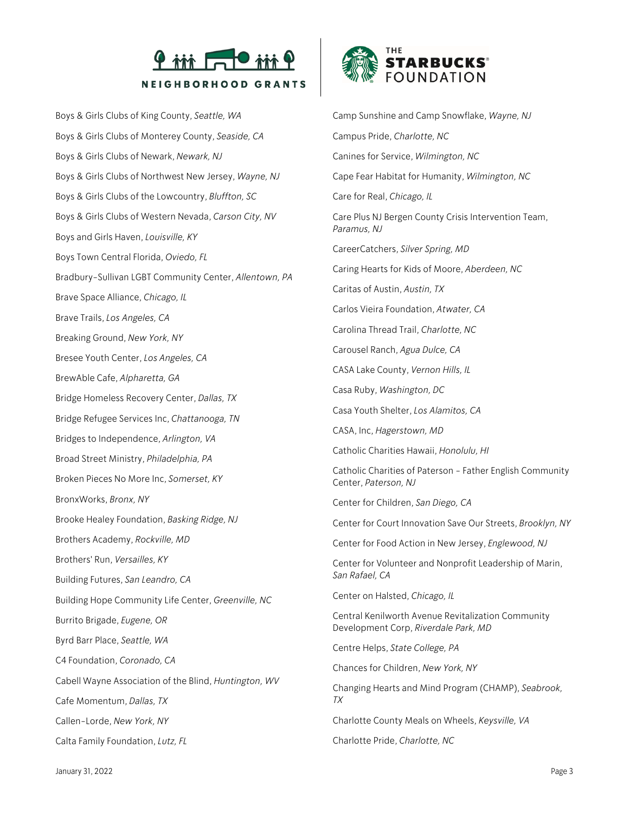

Boys & Girls Clubs of King County, *Seattle, WA* Boys & Girls Clubs of Monterey County, *Seaside, CA* Boys & Girls Clubs of Newark, *Newark, NJ* Boys & Girls Clubs of Northwest New Jersey, *Wayne, NJ* Boys & Girls Clubs of the Lowcountry, *Bluffton, SC* Boys & Girls Clubs of Western Nevada, *Carson City, NV* Boys and Girls Haven, *Louisville, KY* Boys Town Central Florida, *Oviedo, FL* Bradbury-Sullivan LGBT Community Center, *Allentown, PA* Brave Space Alliance, *Chicago, IL* Brave Trails, *Los Angeles, CA* Breaking Ground, *New York, NY* Bresee Youth Center, *Los Angeles, CA* BrewAble Cafe, *Alpharetta, GA* Bridge Homeless Recovery Center, *Dallas, TX* Bridge Refugee Services Inc, *Chattanooga, TN* Bridges to Independence, *Arlington, VA* Broad Street Ministry, *Philadelphia, PA* Broken Pieces No More Inc, *Somerset, KY* BronxWorks, *Bronx, NY* Brooke Healey Foundation, *Basking Ridge, NJ* Brothers Academy, *Rockville, MD* Brothers' Run, *Versailles, KY* Building Futures, *San Leandro, CA* Building Hope Community Life Center, *Greenville, NC* Burrito Brigade, *Eugene, OR* Byrd Barr Place, *Seattle, WA* C4 Foundation, *Coronado, CA* Cabell Wayne Association of the Blind, *Huntington, WV* Cafe Momentum, *Dallas, TX* Callen-Lorde, *New York, NY* Calta Family Foundation, *Lutz, FL*



Camp Sunshine and Camp Snowflake, *Wayne, NJ* Campus Pride, *Charlotte, NC* Canines for Service, *Wilmington, NC* Cape Fear Habitat for Humanity, *Wilmington, NC* Care for Real, *Chicago, IL* Care Plus NJ Bergen County Crisis Intervention Team, *Paramus, NJ* CareerCatchers, *Silver Spring, MD* Caring Hearts for Kids of Moore, *Aberdeen, NC* Caritas of Austin, *Austin, TX* Carlos Vieira Foundation, *Atwater, CA* Carolina Thread Trail, *Charlotte, NC* Carousel Ranch, *Agua Dulce, CA* CASA Lake County, *Vernon Hills, IL* Casa Ruby, *Washington, DC* Casa Youth Shelter, *Los Alamitos, CA* CASA, Inc, *Hagerstown, MD* Catholic Charities Hawaii, *Honolulu, HI* Catholic Charities of Paterson - Father English Community Center, *Paterson, NJ* Center for Children, *San Diego, CA* Center for Court Innovation Save Our Streets, *Brooklyn, NY* Center for Food Action in New Jersey, *Englewood, NJ* Center for Volunteer and Nonprofit Leadership of Marin, *San Rafael, CA* Center on Halsted, *Chicago, IL* Central Kenilworth Avenue Revitalization Community Development Corp, *Riverdale Park, MD* Centre Helps, *State College, PA* Chances for Children, *New York, NY* Changing Hearts and Mind Program (CHAMP), *Seabrook, TX* Charlotte County Meals on Wheels, *Keysville, VA*

Charlotte Pride, *Charlotte, NC*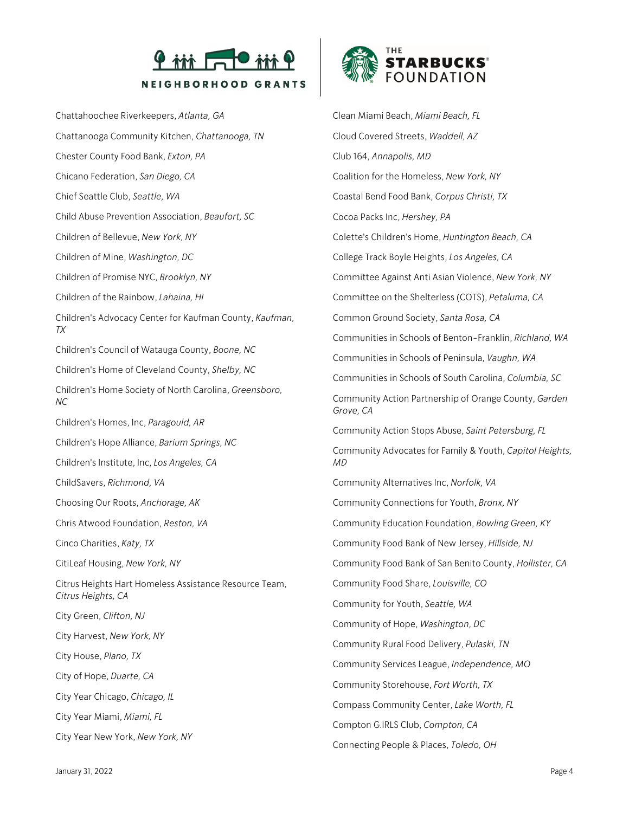

Chattahoochee Riverkeepers, *Atlanta, GA* Chattanooga Community Kitchen, *Chattanooga, TN* Chester County Food Bank, *Exton, PA* Chicano Federation, *San Diego, CA* Chief Seattle Club, *Seattle, WA* Child Abuse Prevention Association, *Beaufort, SC* Children of Bellevue, *New York, NY* Children of Mine, *Washington, DC* Children of Promise NYC, *Brooklyn, NY* Children of the Rainbow, *Lahaina, HI* Children's Advocacy Center for Kaufman County, *Kaufman, TX* Children's Council of Watauga County, *Boone, NC* Children's Home of Cleveland County, *Shelby, NC* Children's Home Society of North Carolina, *Greensboro, NC* Children's Homes, Inc, *Paragould, AR* Children's Hope Alliance, *Barium Springs, NC* Children's Institute, Inc, *Los Angeles, CA* ChildSavers, *Richmond, VA* Choosing Our Roots, *Anchorage, AK* Chris Atwood Foundation, *Reston, VA* Cinco Charities, *Katy, TX* CitiLeaf Housing, *New York, NY* Citrus Heights Hart Homeless Assistance Resource Team, *Citrus Heights, CA* City Green, *Clifton, NJ* City Harvest, *New York, NY* City House, *Plano, TX* City of Hope, *Duarte, CA* City Year Chicago, *Chicago, IL* City Year Miami, *Miami, FL* City Year New York, *New York, NY*



Clean Miami Beach, *Miami Beach, FL* Cloud Covered Streets, *Waddell, AZ* Club 164, *Annapolis, MD* Coalition for the Homeless, *New York, NY* Coastal Bend Food Bank, *Corpus Christi, TX* Cocoa Packs Inc, *Hershey, PA* Colette's Children's Home, *Huntington Beach, CA* College Track Boyle Heights, *Los Angeles, CA* Committee Against Anti Asian Violence, *New York, NY* Committee on the Shelterless (COTS), *Petaluma, CA* Common Ground Society, *Santa Rosa, CA* Communities in Schools of Benton-Franklin, *Richland, WA* Communities in Schools of Peninsula, *Vaughn, WA* Communities in Schools of South Carolina, *Columbia, SC* Community Action Partnership of Orange County, *Garden Grove, CA* Community Action Stops Abuse, *Saint Petersburg, FL* Community Advocates for Family & Youth, *Capitol Heights, MD* Community Alternatives Inc, *Norfolk, VA* Community Connections for Youth, *Bronx, NY* Community Education Foundation, *Bowling Green, KY* Community Food Bank of New Jersey, *Hillside, NJ* Community Food Bank of San Benito County, *Hollister, CA* Community Food Share, *Louisville, CO* Community for Youth, *Seattle, WA* Community of Hope, *Washington, DC* Community Rural Food Delivery, *Pulaski, TN* Community Services League, *Independence, MO* Community Storehouse, *Fort Worth, TX* Compass Community Center, *Lake Worth, FL* Compton G.IRLS Club, *Compton, CA* Connecting People & Places, *Toledo, OH*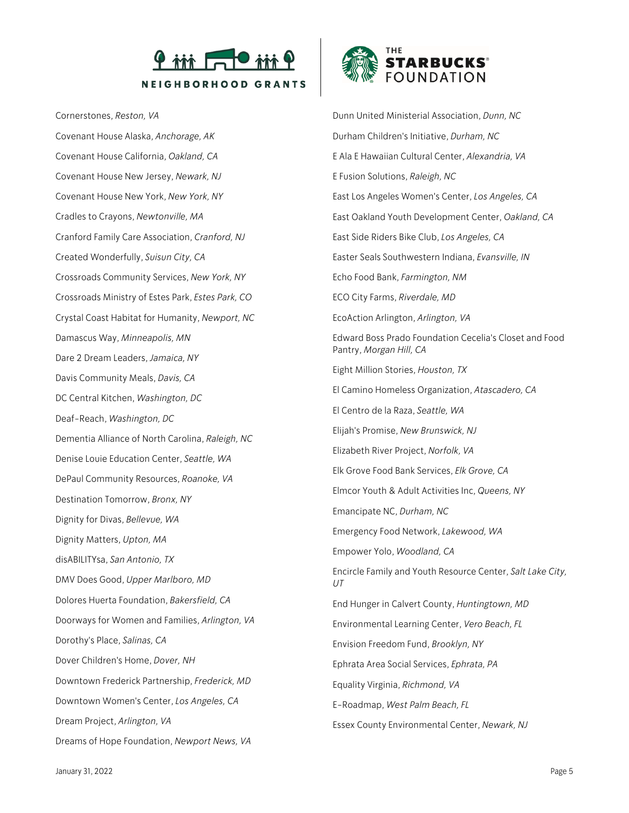

Cornerstones, *Reston, VA*

Covenant House Alaska, *Anchorage, AK* Covenant House California, *Oakland, CA* Covenant House New Jersey, *Newark, NJ* Covenant House New York, *New York, NY* Cradles to Crayons, *Newtonville, MA* Cranford Family Care Association, *Cranford, NJ* Created Wonderfully, *Suisun City, CA* Crossroads Community Services, *New York, NY* Crossroads Ministry of Estes Park, *Estes Park, CO* Crystal Coast Habitat for Humanity, *Newport, NC* Damascus Way, *Minneapolis, MN* Dare 2 Dream Leaders, *Jamaica, NY* Davis Community Meals, *Davis, CA* DC Central Kitchen, *Washington, DC* Deaf-Reach, *Washington, DC* Dementia Alliance of North Carolina, *Raleigh, NC* Denise Louie Education Center, *Seattle, WA* DePaul Community Resources, *Roanoke, VA* Destination Tomorrow, *Bronx, NY* Dignity for Divas, *Bellevue, WA* Dignity Matters, *Upton, MA* disABILITYsa, *San Antonio, TX* DMV Does Good, *Upper Marlboro, MD* Dolores Huerta Foundation, *Bakersfield, CA* Doorways for Women and Families, *Arlington, VA* Dorothy's Place, *Salinas, CA* Dover Children's Home, *Dover, NH* Downtown Frederick Partnership, *Frederick, MD* Downtown Women's Center, *Los Angeles, CA* Dream Project, *Arlington, VA* Dreams of Hope Foundation, *Newport News, VA*



Dunn United Ministerial Association, *Dunn, NC* Durham Children's Initiative, *Durham, NC* E Ala E Hawaiian Cultural Center, *Alexandria, VA* E Fusion Solutions, *Raleigh, NC* East Los Angeles Women's Center, *Los Angeles, CA* East Oakland Youth Development Center, *Oakland, CA* East Side Riders Bike Club, *Los Angeles, CA* Easter Seals Southwestern Indiana, *Evansville, IN* Echo Food Bank, *Farmington, NM* ECO City Farms, *Riverdale, MD* EcoAction Arlington, *Arlington, VA* Edward Boss Prado Foundation Cecelia's Closet and Food Pantry, *Morgan Hill, CA* Eight Million Stories, *Houston, TX* El Camino Homeless Organization, *Atascadero, CA* El Centro de la Raza, *Seattle, WA* Elijah's Promise, *New Brunswick, NJ* Elizabeth River Project, *Norfolk, VA* Elk Grove Food Bank Services, *Elk Grove, CA* Elmcor Youth & Adult Activities Inc, *Queens, NY* Emancipate NC, *Durham, NC* Emergency Food Network, *Lakewood, WA* Empower Yolo, *Woodland, CA* Encircle Family and Youth Resource Center, *Salt Lake City, UT* End Hunger in Calvert County, *Huntingtown, MD* Environmental Learning Center, *Vero Beach, FL* Envision Freedom Fund, *Brooklyn, NY* Ephrata Area Social Services, *Ephrata, PA* Equality Virginia, *Richmond, VA* E-Roadmap, *West Palm Beach, FL* Essex County Environmental Center, *Newark, NJ*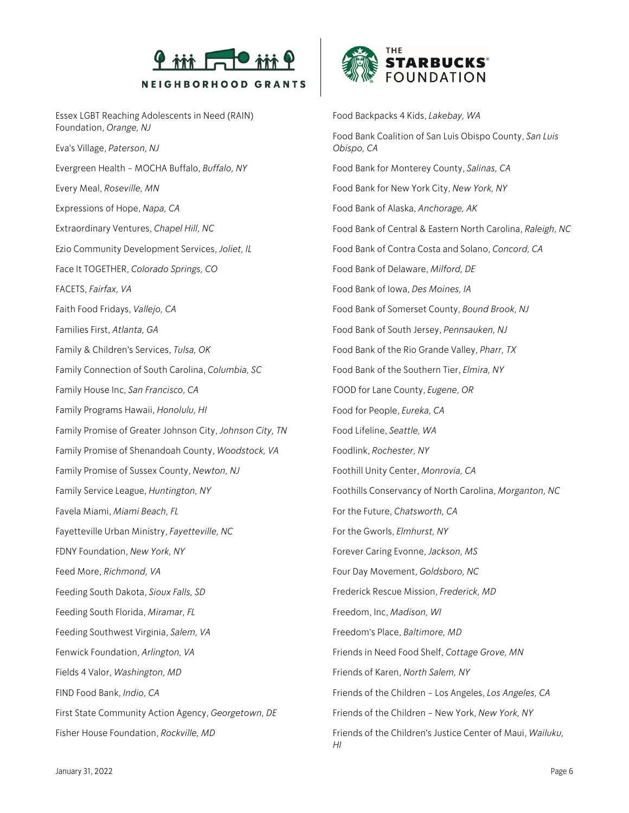

Essex LGBT Reaching Adolescents in Need (RAIN) Foundation, *Orange, NJ* Eva's Village, *Paterson, NJ* Evergreen Health - MOCHA Buffalo, *Buffalo, NY* Every Meal, *Roseville, MN* Expressions of Hope, *Napa, CA* Extraordinary Ventures, *Chapel Hill, NC* Ezio Community Development Services, *Joliet, IL* Face It TOGETHER, *Colorado Springs, CO* FACETS, *Fairfax, VA* Faith Food Fridays, *Vallejo, CA* Families First, *Atlanta, GA* Family & Children's Services, *Tulsa, OK* Family Connection of South Carolina, *Columbia, SC* Family House Inc, *San Francisco, CA* Family Programs Hawaii, *Honolulu, HI* Family Promise of Greater Johnson City, *Johnson City, TN* Family Promise of Shenandoah County, *Woodstock, VA* Family Promise of Sussex County, *Newton, NJ* Family Service League, *Huntington, NY* Favela Miami, *Miami Beach, FL* Fayetteville Urban Ministry, *Fayetteville, NC* FDNY Foundation, *New York, NY* Feed More, *Richmond, VA* Feeding South Dakota, *Sioux Falls, SD* Feeding South Florida, *Miramar, FL* Feeding Southwest Virginia, *Salem, VA* Fenwick Foundation, *Arlington, VA* Fields 4 Valor, *Washington, MD* FIND Food Bank, *Indio, CA* First State Community Action Agency, *Georgetown, DE* Fisher House Foundation, *Rockville, MD*



Food Backpacks 4 Kids, *Lakebay, WA* Food Bank Coalition of San Luis Obispo County, *San Luis Obispo, CA* Food Bank for Monterey County, *Salinas, CA* Food Bank for New York City, *New York, NY* Food Bank of Alaska, *Anchorage, AK* Food Bank of Central & Eastern North Carolina, *Raleigh, NC* Food Bank of Contra Costa and Solano, *Concord, CA* Food Bank of Delaware, *Milford, DE* Food Bank of Iowa, *Des Moines, IA* Food Bank of Somerset County, *Bound Brook, NJ* Food Bank of South Jersey, *Pennsauken, NJ* Food Bank of the Rio Grande Valley, *Pharr, TX* Food Bank of the Southern Tier, *Elmira, NY* FOOD for Lane County, *Eugene, OR* Food for People, *Eureka, CA* Food Lifeline, *Seattle, WA* Foodlink, *Rochester, NY* Foothill Unity Center, *Monrovia, CA* Foothills Conservancy of North Carolina, *Morganton, NC* For the Future, *Chatsworth, CA* For the Gworls, *Elmhurst, NY* Forever Caring Evonne, *Jackson, MS* Four Day Movement, *Goldsboro, NC* Frederick Rescue Mission, *Frederick, MD* Freedom, Inc, *Madison, WI* Freedom's Place, *Baltimore, MD* Friends in Need Food Shelf, *Cottage Grove, MN* Friends of Karen, *North Salem, NY* Friends of the Children - Los Angeles, *Los Angeles, CA* Friends of the Children - New York, *New York, NY* Friends of the Children's Justice Center of Maui, *Wailuku, HI*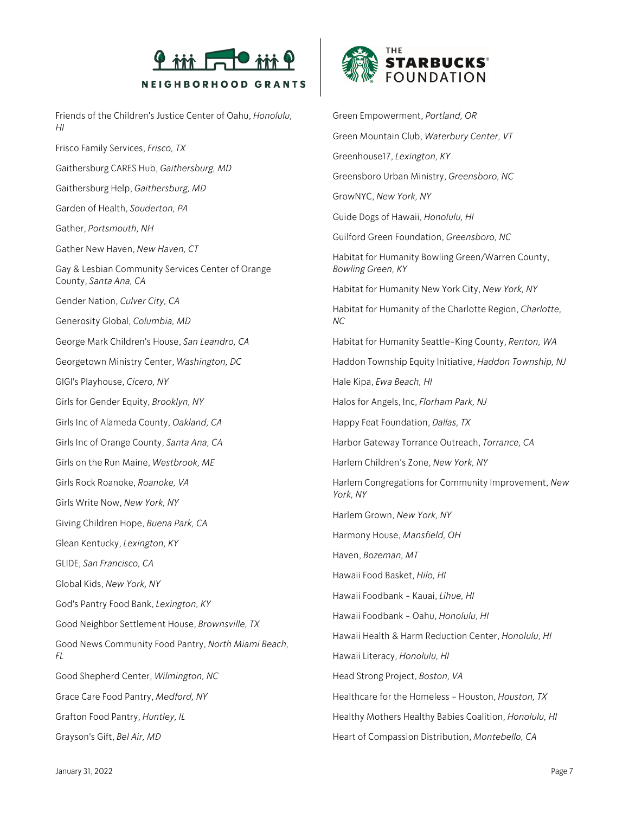

Friends of the Children's Justice Center of Oahu, *Honolulu, HI*

Frisco Family Services, *Frisco, TX* Gaithersburg CARES Hub, *Gaithersburg, MD* Gaithersburg Help, *Gaithersburg, MD* Garden of Health, *Souderton, PA* Gather, *Portsmouth, NH* Gather New Haven, *New Haven, CT* Gay & Lesbian Community Services Center of Orange County, *Santa Ana, CA* Gender Nation, *Culver City, CA* Generosity Global, *Columbia, MD* George Mark Children's House, *San Leandro, CA* Georgetown Ministry Center, *Washington, DC* GIGI's Playhouse, *Cicero, NY* Girls for Gender Equity, *Brooklyn, NY* Girls Inc of Alameda County, *Oakland, CA* Girls Inc of Orange County, *Santa Ana, CA* Girls on the Run Maine, *Westbrook, ME* Girls Rock Roanoke, *Roanoke, VA* Girls Write Now, *New York, NY* Giving Children Hope, *Buena Park, CA* Glean Kentucky, *Lexington, KY* GLIDE, *San Francisco, CA* Global Kids, *New York, NY* God's Pantry Food Bank, *Lexington, KY* Good Neighbor Settlement House, *Brownsville, TX* Good News Community Food Pantry, *North Miami Beach, FL* Good Shepherd Center, *Wilmington, NC* Grace Care Food Pantry, *Medford, NY* Grafton Food Pantry, *Huntley, IL* Grayson's Gift, *Bel Air, MD*



Green Empowerment, *Portland, OR* Green Mountain Club, *Waterbury Center, VT* Greenhouse17, *Lexington, KY* Greensboro Urban Ministry, *Greensboro, NC* GrowNYC, *New York, NY* Guide Dogs of Hawaii, *Honolulu, HI* Guilford Green Foundation, *Greensboro, NC* Habitat for Humanity Bowling Green/Warren County, *Bowling Green, KY* Habitat for Humanity New York City, *New York, NY* Habitat for Humanity of the Charlotte Region, *Charlotte, NC* Habitat for Humanity Seattle-King County, *Renton, WA* Haddon Township Equity Initiative, *Haddon Township, NJ* Hale Kipa, *Ewa Beach, HI* Halos for Angels, Inc, *Florham Park, NJ* Happy Feat Foundation, *Dallas, TX* Harbor Gateway Torrance Outreach, *Torrance, CA* Harlem Children's Zone, *New York, NY* Harlem Congregations for Community Improvement, *New York, NY* Harlem Grown, *New York, NY* Harmony House, *Mansfield, OH* Haven, *Bozeman, MT* Hawaii Food Basket, *Hilo, HI* Hawaii Foodbank - Kauai, *Lihue, HI* Hawaii Foodbank - Oahu, *Honolulu, HI* Hawaii Health & Harm Reduction Center, *Honolulu, HI* Hawaii Literacy, *Honolulu, HI* Head Strong Project, *Boston, VA* Healthcare for the Homeless - Houston, *Houston, TX* Healthy Mothers Healthy Babies Coalition, *Honolulu, HI* Heart of Compassion Distribution, *Montebello, CA*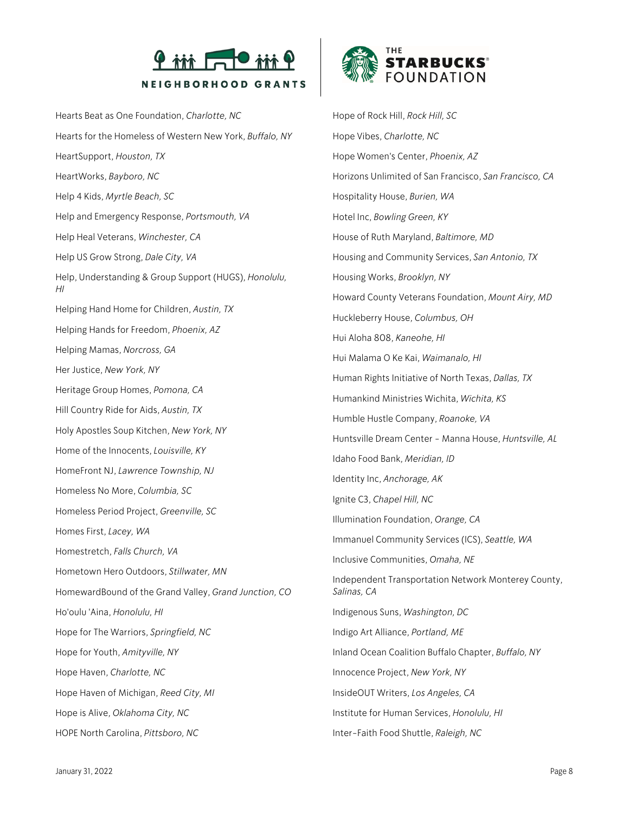

Hearts Beat as One Foundation, *Charlotte, NC* Hearts for the Homeless of Western New York, *Buffalo, NY* HeartSupport, *Houston, TX* HeartWorks, *Bayboro, NC* Help 4 Kids, *Myrtle Beach, SC* Help and Emergency Response, *Portsmouth, VA* Help Heal Veterans, *Winchester, CA* Help US Grow Strong, *Dale City, VA* Help, Understanding & Group Support (HUGS), *Honolulu, HI* Helping Hand Home for Children, *Austin, TX* Helping Hands for Freedom, *Phoenix, AZ* Helping Mamas, *Norcross, GA* Her Justice, *New York, NY* Heritage Group Homes, *Pomona, CA* Hill Country Ride for Aids, *Austin, TX* Holy Apostles Soup Kitchen, *New York, NY* Home of the Innocents, *Louisville, KY* HomeFront NJ, *Lawrence Township, NJ* Homeless No More, *Columbia, SC* Homeless Period Project, *Greenville, SC* Homes First, *Lacey, WA* Homestretch, *Falls Church, VA* Hometown Hero Outdoors, *Stillwater, MN* HomewardBound of the Grand Valley, *Grand Junction, CO* Ho'oulu 'Aina, *Honolulu, HI* Hope for The Warriors, *Springfield, NC* Hope for Youth, *Amityville, NY* Hope Haven, *Charlotte, NC* Hope Haven of Michigan, *Reed City, MI* Hope is Alive, *Oklahoma City, NC* HOPE North Carolina, *Pittsboro, NC*



Hope of Rock Hill, *Rock Hill, SC* Hope Vibes, *Charlotte, NC* Hope Women's Center, *Phoenix, AZ* Horizons Unlimited of San Francisco, *San Francisco, CA* Hospitality House, *Burien, WA* Hotel Inc, *Bowling Green, KY* House of Ruth Maryland, *Baltimore, MD* Housing and Community Services, *San Antonio, TX* Housing Works, *Brooklyn, NY* Howard County Veterans Foundation, *Mount Airy, MD* Huckleberry House, *Columbus, OH* Hui Aloha 808, *Kaneohe, HI* Hui Malama O Ke Kai, *Waimanalo, HI* Human Rights Initiative of North Texas, *Dallas, TX* Humankind Ministries Wichita, *Wichita, KS* Humble Hustle Company, *Roanoke, VA* Huntsville Dream Center - Manna House, *Huntsville, AL* Idaho Food Bank, *Meridian, ID* Identity Inc, *Anchorage, AK* Ignite C3, *Chapel Hill, NC* Illumination Foundation, *Orange, CA* Immanuel Community Services (ICS), *Seattle, WA* Inclusive Communities, *Omaha, NE* Independent Transportation Network Monterey County, *Salinas, CA* Indigenous Suns, *Washington, DC* Indigo Art Alliance, *Portland, ME* Inland Ocean Coalition Buffalo Chapter, *Buffalo, NY* Innocence Project, *New York, NY* InsideOUT Writers, *Los Angeles, CA* Institute for Human Services, *Honolulu, HI* Inter-Faith Food Shuttle, *Raleigh, NC*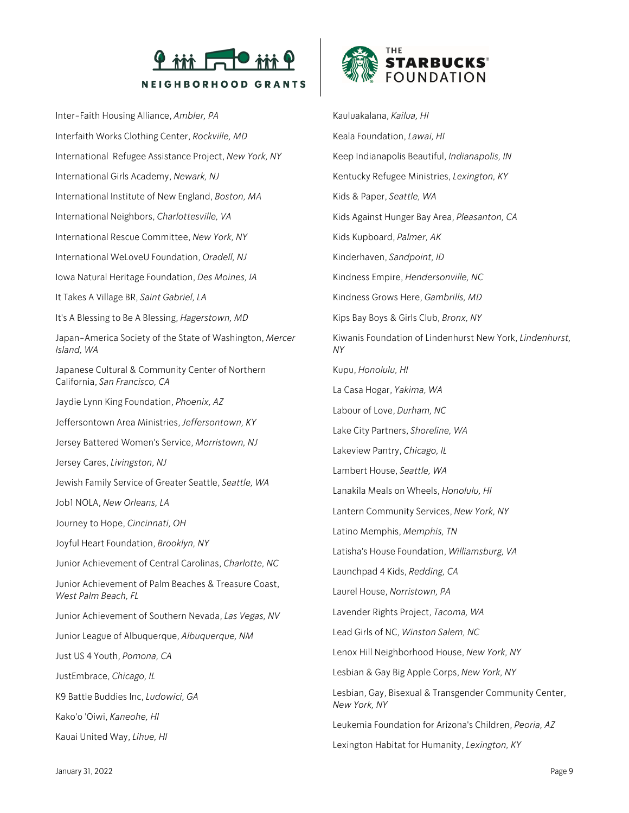

Inter-Faith Housing Alliance, *Ambler, PA* Interfaith Works Clothing Center, *Rockville, MD* International Refugee Assistance Project, *New York, NY* International Girls Academy, *Newark, NJ* International Institute of New England, *Boston, MA* International Neighbors, *Charlottesville, VA* International Rescue Committee, *New York, NY* International WeLoveU Foundation, *Oradell, NJ* Iowa Natural Heritage Foundation, *Des Moines, IA* It Takes A Village BR, *Saint Gabriel, LA* It's A Blessing to Be A Blessing, *Hagerstown, MD* Japan-America Society of the State of Washington, *Mercer Island, WA* Japanese Cultural & Community Center of Northern California, *San Francisco, CA* Jaydie Lynn King Foundation, *Phoenix, AZ* Jeffersontown Area Ministries, *Jeffersontown, KY* Jersey Battered Women's Service, *Morristown, NJ* Jersey Cares, *Livingston, NJ* Jewish Family Service of Greater Seattle, *Seattle, WA* Job1 NOLA, *New Orleans, LA* Journey to Hope, *Cincinnati, OH* Joyful Heart Foundation, *Brooklyn, NY* Junior Achievement of Central Carolinas, *Charlotte, NC* Junior Achievement of Palm Beaches & Treasure Coast, *West Palm Beach, FL* Junior Achievement of Southern Nevada, *Las Vegas, NV* Junior League of Albuquerque, *Albuquerque, NM* Just US 4 Youth, *Pomona, CA* JustEmbrace, *Chicago, IL* K9 Battle Buddies Inc, *Ludowici, GA* Kako'o 'Oiwi, *Kaneohe, HI* Kauai United Way, *Lihue, HI*



Kauluakalana, *Kailua, HI* Keala Foundation, *Lawai, HI* Keep Indianapolis Beautiful, *Indianapolis, IN* Kentucky Refugee Ministries, *Lexington, KY* Kids & Paper, *Seattle, WA* Kids Against Hunger Bay Area, *Pleasanton, CA* Kids Kupboard, *Palmer, AK* Kinderhaven, *Sandpoint, ID* Kindness Empire, *Hendersonville, NC* Kindness Grows Here, *Gambrills, MD* Kips Bay Boys & Girls Club, *Bronx, NY* Kiwanis Foundation of Lindenhurst New York, *Lindenhurst, NY* Kupu, *Honolulu, HI* La Casa Hogar, *Yakima, WA* Labour of Love, *Durham, NC* Lake City Partners, *Shoreline, WA* Lakeview Pantry, *Chicago, IL* Lambert House, *Seattle, WA* Lanakila Meals on Wheels, *Honolulu, HI* Lantern Community Services, *New York, NY* Latino Memphis, *Memphis, TN* Latisha's House Foundation, *Williamsburg, VA* Launchpad 4 Kids, *Redding, CA* Laurel House, *Norristown, PA* Lavender Rights Project, *Tacoma, WA* Lead Girls of NC, *Winston Salem, NC* Lenox Hill Neighborhood House, *New York, NY* Lesbian & Gay Big Apple Corps, *New York, NY* Lesbian, Gay, Bisexual & Transgender Community Center, *New York, NY* Leukemia Foundation for Arizona's Children, *Peoria, AZ* Lexington Habitat for Humanity, *Lexington, KY*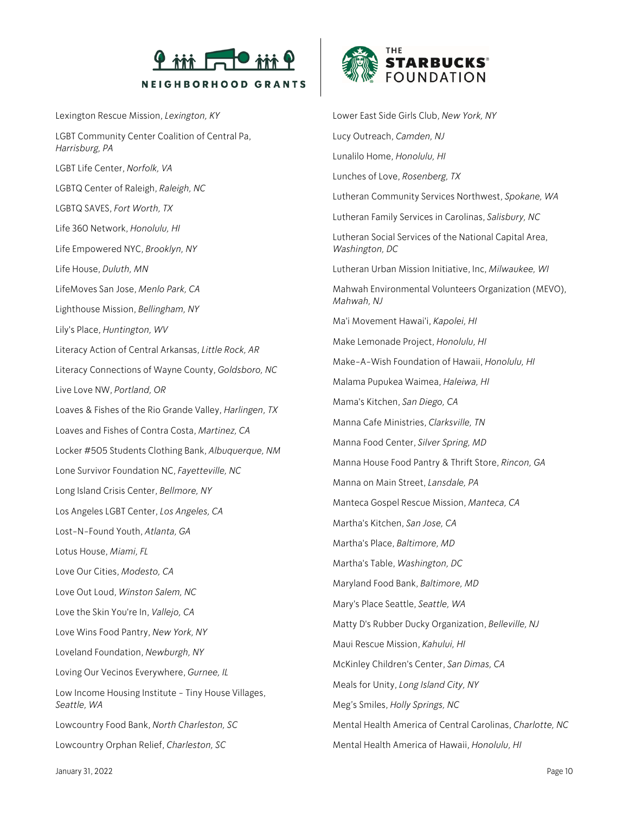

Lexington Rescue Mission, *Lexington, KY* LGBT Community Center Coalition of Central Pa, *Harrisburg, PA* LGBT Life Center, *Norfolk, VA* LGBTQ Center of Raleigh, *Raleigh, NC* LGBTQ SAVES, *Fort Worth, TX* Life 360 Network, *Honolulu, HI* Life Empowered NYC, *Brooklyn, NY* Life House, *Duluth, MN* LifeMoves San Jose, *Menlo Park, CA* Lighthouse Mission, *Bellingham, NY* Lily's Place, *Huntington, WV* Literacy Action of Central Arkansas, *Little Rock, AR* Literacy Connections of Wayne County, *Goldsboro, NC* Live Love NW, *Portland, OR* Loaves & Fishes of the Rio Grande Valley, *Harlingen, TX* Loaves and Fishes of Contra Costa, *Martinez, CA* Locker #505 Students Clothing Bank, *Albuquerque, NM* Lone Survivor Foundation NC, *Fayetteville, NC* Long Island Crisis Center, *Bellmore, NY* Los Angeles LGBT Center, *Los Angeles, CA* Lost-N-Found Youth, *Atlanta, GA* Lotus House, *Miami, FL* Love Our Cities, *Modesto, CA* Love Out Loud, *Winston Salem, NC* Love the Skin You're In, *Vallejo, CA* Love Wins Food Pantry, *New York, NY* Loveland Foundation, *Newburgh, NY* Loving Our Vecinos Everywhere, *Gurnee, IL* Low Income Housing Institute - Tiny House Villages, *Seattle, WA* Lowcountry Food Bank, *North Charleston, SC* Lowcountry Orphan Relief, *Charleston, SC*



Lower East Side Girls Club, *New York, NY* Lucy Outreach, *Camden, NJ* Lunalilo Home, *Honolulu, HI* Lunches of Love, *Rosenberg, TX* Lutheran Community Services Northwest, *Spokane, WA* Lutheran Family Services in Carolinas, *Salisbury, NC* Lutheran Social Services of the National Capital Area, *Washington, DC* Lutheran Urban Mission Initiative, Inc, *Milwaukee, WI* Mahwah Environmental Volunteers Organization (MEVO), *Mahwah, NJ* Ma'i Movement Hawai'i, *Kapolei, HI* Make Lemonade Project, *Honolulu, HI* Make-A-Wish Foundation of Hawaii, *Honolulu, HI* Malama Pupukea Waimea, *Haleiwa, HI* Mama's Kitchen, *San Diego, CA* Manna Cafe Ministries, *Clarksville, TN* Manna Food Center, *Silver Spring, MD* Manna House Food Pantry & Thrift Store, *Rincon, GA* Manna on Main Street, *Lansdale, PA* Manteca Gospel Rescue Mission, *Manteca, CA* Martha's Kitchen, *San Jose, CA* Martha's Place, *Baltimore, MD* Martha's Table, *Washington, DC* Maryland Food Bank, *Baltimore, MD* Mary's Place Seattle, *Seattle, WA* Matty D's Rubber Ducky Organization, *Belleville, NJ* Maui Rescue Mission, *Kahului, HI* McKinley Children's Center, *San Dimas, CA* Meals for Unity, *Long Island City, NY* Meg's Smiles, *Holly Springs, NC* Mental Health America of Central Carolinas, *Charlotte, NC* Mental Health America of Hawaii, *Honolulu, HI*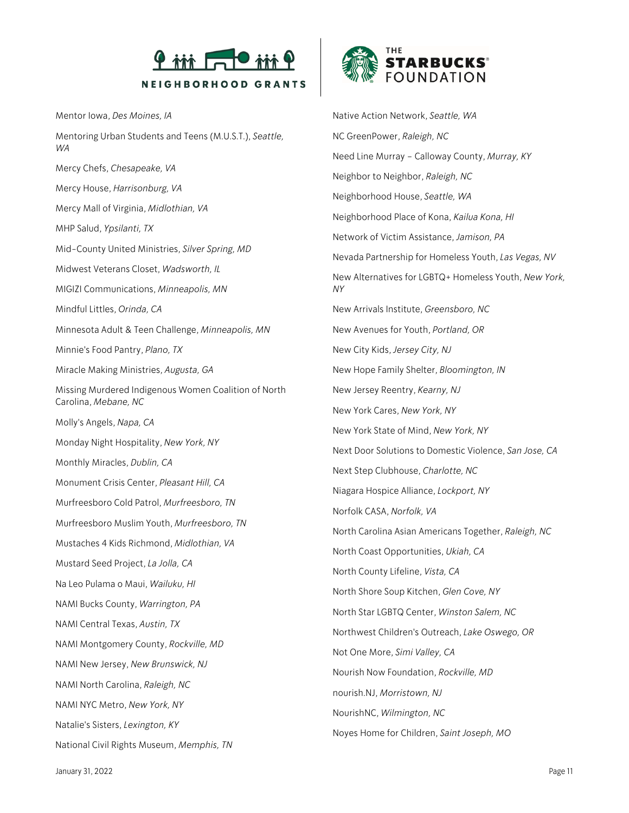

Mentor Iowa, *Des Moines, IA*

Mentoring Urban Students and Teens (M.U.S.T.), *Seattle, WA* Mercy Chefs, *Chesapeake, VA* Mercy House, *Harrisonburg, VA* Mercy Mall of Virginia, *Midlothian, VA* MHP Salud, *Ypsilanti, TX* Mid-County United Ministries, *Silver Spring, MD* Midwest Veterans Closet, *Wadsworth, IL* MIGIZI Communications, *Minneapolis, MN* Mindful Littles, *Orinda, CA* Minnesota Adult & Teen Challenge, *Minneapolis, MN* Minnie's Food Pantry, *Plano, TX* Miracle Making Ministries, *Augusta, GA* Missing Murdered Indigenous Women Coalition of North Carolina, *Mebane, NC* Molly's Angels, *Napa, CA* Monday Night Hospitality, *New York, NY* Monthly Miracles, *Dublin, CA* Monument Crisis Center, *Pleasant Hill, CA* Murfreesboro Cold Patrol, *Murfreesboro, TN* Murfreesboro Muslim Youth, *Murfreesboro, TN* Mustaches 4 Kids Richmond, *Midlothian, VA* Mustard Seed Project, *La Jolla, CA* Na Leo Pulama o Maui, *Wailuku, HI* NAMI Bucks County, *Warrington, PA* NAMI Central Texas, *Austin, TX* NAMI Montgomery County, *Rockville, MD* NAMI New Jersey, *New Brunswick, NJ* NAMI North Carolina, *Raleigh, NC* NAMI NYC Metro, *New York, NY* Natalie's Sisters, *Lexington, KY* National Civil Rights Museum, *Memphis, TN*



Native Action Network, *Seattle, WA* NC GreenPower, *Raleigh, NC* Need Line Murray – Calloway County, *Murray, KY* Neighbor to Neighbor, *Raleigh, NC* Neighborhood House, *Seattle, WA* Neighborhood Place of Kona, *Kailua Kona, HI* Network of Victim Assistance, *Jamison, PA* Nevada Partnership for Homeless Youth, *Las Vegas, NV* New Alternatives for LGBTQ+ Homeless Youth, *New York, NY* New Arrivals Institute, *Greensboro, NC* New Avenues for Youth, *Portland, OR* New City Kids, *Jersey City, NJ* New Hope Family Shelter, *Bloomington, IN* New Jersey Reentry, *Kearny, NJ* New York Cares, *New York, NY* New York State of Mind, *New York, NY* Next Door Solutions to Domestic Violence, *San Jose, CA* Next Step Clubhouse, *Charlotte, NC* Niagara Hospice Alliance, *Lockport, NY* Norfolk CASA, *Norfolk, VA* North Carolina Asian Americans Together, *Raleigh, NC* North Coast Opportunities, *Ukiah, CA* North County Lifeline, *Vista, CA* North Shore Soup Kitchen, *Glen Cove, NY* North Star LGBTQ Center, *Winston Salem, NC* Northwest Children's Outreach, *Lake Oswego, OR* Not One More, *Simi Valley, CA* Nourish Now Foundation, *Rockville, MD* nourish.NJ, *Morristown, NJ* NourishNC, *Wilmington, NC* Noyes Home for Children, *Saint Joseph, MO*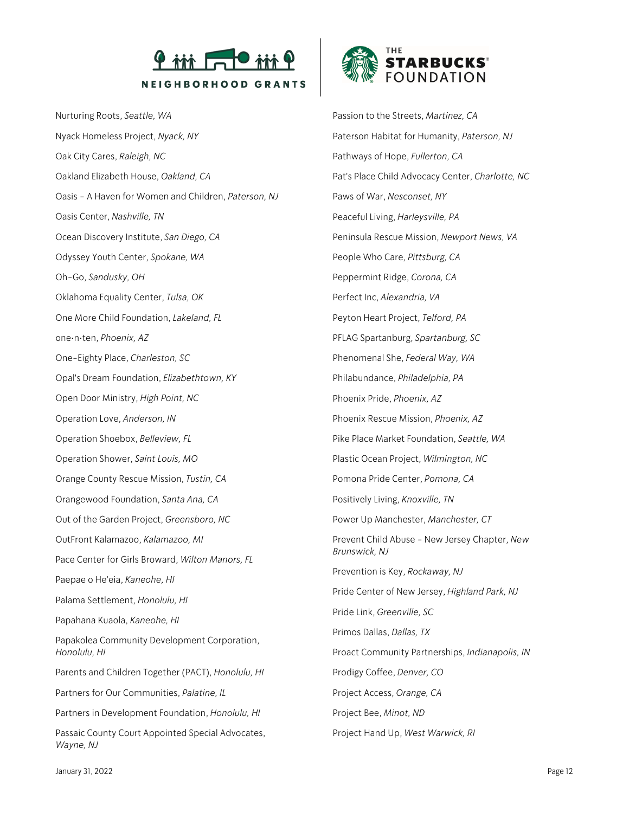

Nurturing Roots, *Seattle, WA* Nyack Homeless Project, *Nyack, NY* Oak City Cares, *Raleigh, NC* Oakland Elizabeth House, *Oakland, CA* Oasis - A Haven for Women and Children, *Paterson, NJ* Oasis Center, *Nashville, TN* Ocean Discovery Institute, *San Diego, CA* Odyssey Youth Center, *Spokane, WA* Oh-Go, *Sandusky, OH* Oklahoma Equality Center, *Tulsa, OK* One More Child Foundation, *Lakeland, FL* one•n•ten, *Phoenix, AZ* One-Eighty Place, *Charleston, SC* Opal's Dream Foundation, *Elizabethtown, KY* Open Door Ministry, *High Point, NC* Operation Love, *Anderson, IN* Operation Shoebox, *Belleview, FL* Operation Shower, *Saint Louis, MO* Orange County Rescue Mission, *Tustin, CA* Orangewood Foundation, *Santa Ana, CA* Out of the Garden Project, *Greensboro, NC* OutFront Kalamazoo, *Kalamazoo, MI* Pace Center for Girls Broward, *Wilton Manors, FL* Paepae o He'eia, *Kaneohe, HI* Palama Settlement, *Honolulu, HI* Papahana Kuaola, *Kaneohe, HI* Papakolea Community Development Corporation, *Honolulu, HI* Parents and Children Together (PACT), *Honolulu, HI* Partners for Our Communities, *Palatine, IL* Partners in Development Foundation, *Honolulu, HI* Passaic County Court Appointed Special Advocates, *Wayne, NJ*



Passion to the Streets, *Martinez, CA* Paterson Habitat for Humanity, *Paterson, NJ* Pathways of Hope, *Fullerton, CA* Pat's Place Child Advocacy Center, *Charlotte, NC* Paws of War, *Nesconset, NY* Peaceful Living, *Harleysville, PA* Peninsula Rescue Mission, *Newport News, VA* People Who Care, *Pittsburg, CA* Peppermint Ridge, *Corona, CA* Perfect Inc, *Alexandria, VA* Peyton Heart Project, *Telford, PA* PFLAG Spartanburg, *Spartanburg, SC* Phenomenal She, *Federal Way, WA* Philabundance, *Philadelphia, PA* Phoenix Pride, *Phoenix, AZ* Phoenix Rescue Mission, *Phoenix, AZ* Pike Place Market Foundation, *Seattle, WA* Plastic Ocean Project, *Wilmington, NC* Pomona Pride Center, *Pomona, CA* Positively Living, *Knoxville, TN* Power Up Manchester, *Manchester, CT* Prevent Child Abuse - New Jersey Chapter, *New Brunswick, NJ* Prevention is Key, *Rockaway, NJ* Pride Center of New Jersey, *Highland Park, NJ* Pride Link, *Greenville, SC* Primos Dallas, *Dallas, TX* Proact Community Partnerships, *Indianapolis, IN* Prodigy Coffee, *Denver, CO* Project Access, *Orange, CA* Project Bee, *Minot, ND* Project Hand Up, *West Warwick, RI*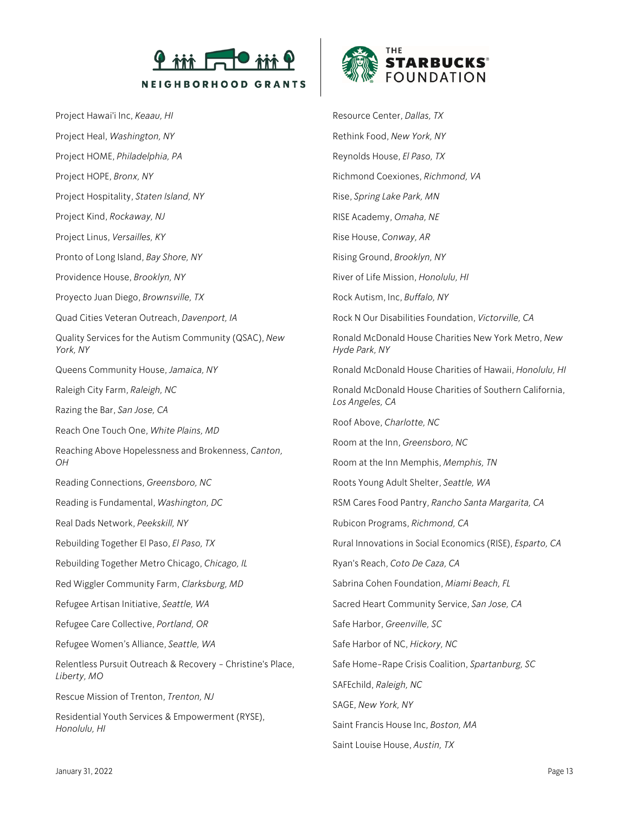

Project Hawai'i Inc, *Keaau, HI* Project Heal, *Washington, NY* Project HOME, *Philadelphia, PA* Project HOPE, *Bronx, NY* Project Hospitality, *Staten Island, NY* Project Kind, *Rockaway, NJ* Project Linus, *Versailles, KY* Pronto of Long Island, *Bay Shore, NY* Providence House, *Brooklyn, NY* Proyecto Juan Diego, *Brownsville, TX* Quad Cities Veteran Outreach, *Davenport, IA* Quality Services for the Autism Community (QSAC), *New York, NY* Queens Community House, *Jamaica, NY* Raleigh City Farm, *Raleigh, NC* Razing the Bar, *San Jose, CA* Reach One Touch One, *White Plains, MD* Reaching Above Hopelessness and Brokenness, *Canton, OH* Reading Connections, *Greensboro, NC* Reading is Fundamental, *Washington, DC* Real Dads Network, *Peekskill, NY* Rebuilding Together El Paso, *El Paso, TX* Rebuilding Together Metro Chicago, *Chicago, IL* Red Wiggler Community Farm, *Clarksburg, MD* Refugee Artisan Initiative, *Seattle, WA* Refugee Care Collective, *Portland, OR* Refugee Women's Alliance, *Seattle, WA* Relentless Pursuit Outreach & Recovery - Christine's Place, *Liberty, MO* Rescue Mission of Trenton, *Trenton, NJ* Residential Youth Services & Empowerment (RYSE), *Honolulu, HI* Resource Center, *Dallas, TX* Rethink Food, *New York, NY* Reynolds House, *El Paso, TX* Richmond Coexiones, *Richmond, VA* Rise, *Spring Lake Park, MN* RISE Academy, *Omaha, NE* Rise House, *Conway, AR* Rising Ground, *Brooklyn, NY* River of Life Mission, *Honolulu, HI* Rock Autism, Inc, *Buffalo, NY* Rock N Our Disabilities Foundation, *Victorville, CA* Ronald McDonald House Charities New York Metro, *New Hyde Park, NY* Ronald McDonald House Charities of Hawaii, *Honolulu, HI* Ronald McDonald House Charities of Southern California, *Los Angeles, CA* Roof Above, *Charlotte, NC* Room at the Inn, *Greensboro, NC* Room at the Inn Memphis, *Memphis, TN* Roots Young Adult Shelter, *Seattle, WA* RSM Cares Food Pantry, *Rancho Santa Margarita, CA* Rubicon Programs, *Richmond, CA* Rural Innovations in Social Economics (RISE), *Esparto, CA* Ryan's Reach, *Coto De Caza, CA* Sabrina Cohen Foundation, *Miami Beach, FL* Sacred Heart Community Service, *San Jose, CA* Safe Harbor, *Greenville, SC* Safe Harbor of NC, *Hickory, NC* Safe Home-Rape Crisis Coalition, *Spartanburg, SC* SAFEchild, *Raleigh, NC* SAGE, *New York, NY* Saint Francis House Inc, *Boston, MA* Saint Louise House, *Austin, TX*

**STARBUCKS® FOUNDATION**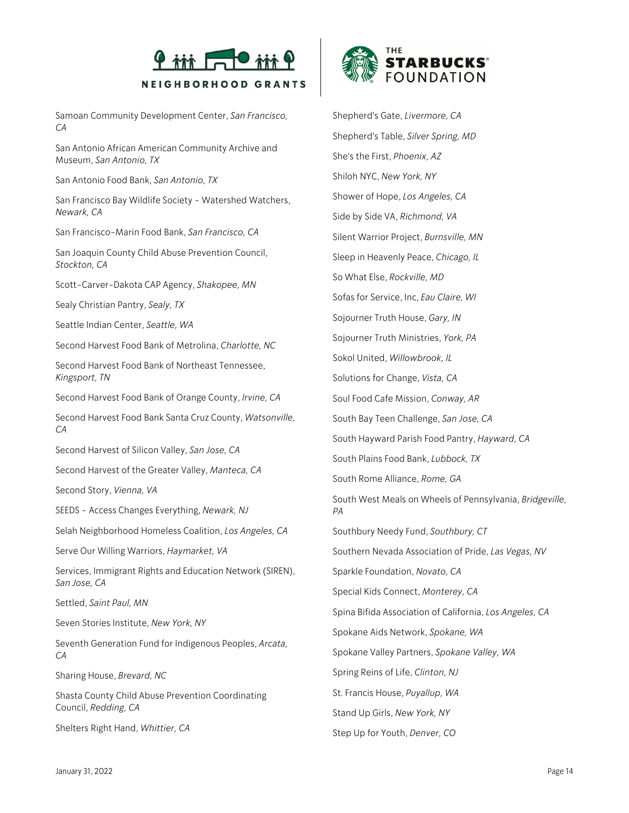

Samoan Community Development Center, *San Francisco, CA*

San Antonio African American Community Archive and Museum, *San Antonio, TX*

San Antonio Food Bank, *San Antonio, TX*

San Francisco Bay Wildlife Society - Watershed Watchers, *Newark, CA*

San Francisco-Marin Food Bank, *San Francisco, CA*

San Joaquin County Child Abuse Prevention Council, *Stockton, CA*

Scott-Carver-Dakota CAP Agency, *Shakopee, MN*

Sealy Christian Pantry, *Sealy, TX*

Seattle Indian Center, *Seattle, WA*

Second Harvest Food Bank of Metrolina, *Charlotte, NC*

Second Harvest Food Bank of Northeast Tennessee, *Kingsport, TN*

Second Harvest Food Bank of Orange County, *Irvine, CA*

Second Harvest Food Bank Santa Cruz County, *Watsonville, CA*

Second Harvest of Silicon Valley, *San Jose, CA*

Second Harvest of the Greater Valley, *Manteca, CA*

Second Story, *Vienna, VA*

SEEDS - Access Changes Everything, *Newark, NJ*

Selah Neighborhood Homeless Coalition, *Los Angeles, CA*

Serve Our Willing Warriors, *Haymarket, VA*

Services, Immigrant Rights and Education Network (SIREN), *San Jose, CA*

Settled, *Saint Paul, MN*

Seven Stories Institute, *New York, NY*

Seventh Generation Fund for Indigenous Peoples, *Arcata, CA*

Sharing House, *Brevard, NC*

Shasta County Child Abuse Prevention Coordinating Council, *Redding, CA*

Shelters Right Hand, *Whittier, CA*



Shepherd's Gate, *Livermore, CA* Shepherd's Table, *Silver Spring, MD* She's the First, *Phoenix, AZ* Shiloh NYC, *New York, NY* Shower of Hope, *Los Angeles, CA* Side by Side VA, *Richmond, VA* Silent Warrior Project, *Burnsville, MN* Sleep in Heavenly Peace, *Chicago, IL* So What Else, *Rockville, MD* Sofas for Service, Inc, *Eau Claire, WI* Sojourner Truth House, *Gary, IN* Sojourner Truth Ministries, *York, PA* Sokol United, *Willowbrook, IL* Solutions for Change, *Vista, CA* Soul Food Cafe Mission, *Conway, AR* South Bay Teen Challenge, *San Jose, CA* South Hayward Parish Food Pantry, *Hayward, CA* South Plains Food Bank, *Lubbock, TX* South Rome Alliance, *Rome, GA* South West Meals on Wheels of Pennsylvania, *Bridgeville, PA* Southbury Needy Fund, *Southbury, CT* Southern Nevada Association of Pride, *Las Vegas, NV* Sparkle Foundation, *Novato, CA* Special Kids Connect, *Monterey, CA* Spina Bifida Association of California, *Los Angeles, CA* Spokane Aids Network, *Spokane, WA* Spokane Valley Partners, *Spokane Valley, WA* Spring Reins of Life, *Clinton, NJ* St. Francis House, *Puyallup, WA* Stand Up Girls, *New York, NY*

Step Up for Youth, *Denver, CO*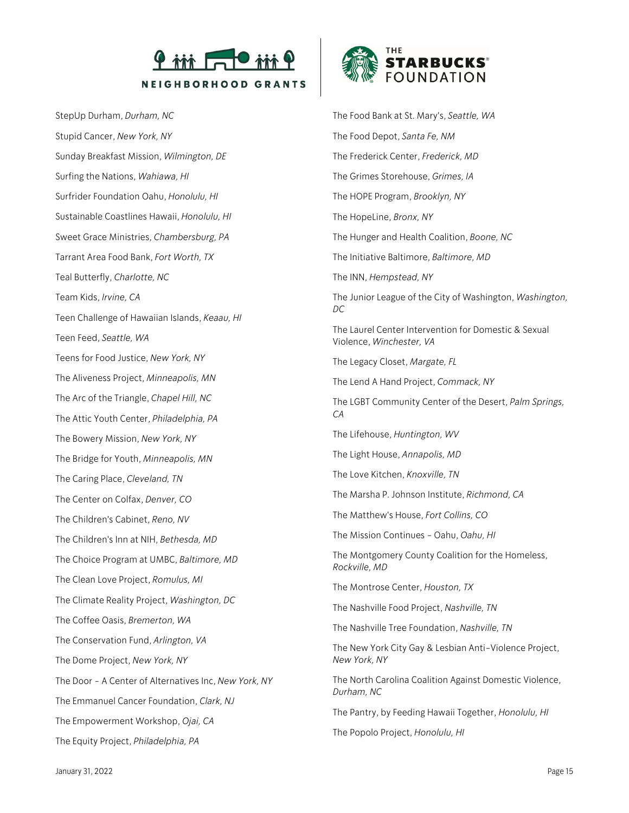

StepUp Durham, *Durham, NC* Stupid Cancer, *New York, NY* Sunday Breakfast Mission, *Wilmington, DE* Surfing the Nations, *Wahiawa, HI* Surfrider Foundation Oahu, *Honolulu, HI* Sustainable Coastlines Hawaii, *Honolulu, HI* Sweet Grace Ministries, *Chambersburg, PA* Tarrant Area Food Bank, *Fort Worth, TX* Teal Butterfly, *Charlotte, NC* Team Kids, *Irvine, CA* Teen Challenge of Hawaiian Islands, *Keaau, HI* Teen Feed, *Seattle, WA* Teens for Food Justice, *New York, NY* The Aliveness Project, *Minneapolis, MN* The Arc of the Triangle, *Chapel Hill, NC* The Attic Youth Center, *Philadelphia, PA* The Bowery Mission, *New York, NY* The Bridge for Youth, *Minneapolis, MN* The Caring Place, *Cleveland, TN* The Center on Colfax, *Denver, CO* The Children's Cabinet, *Reno, NV* The Children's Inn at NIH, *Bethesda, MD* The Choice Program at UMBC, *Baltimore, MD* The Clean Love Project, *Romulus, MI* The Climate Reality Project, *Washington, DC* The Coffee Oasis, *Bremerton, WA* The Conservation Fund, *Arlington, VA* The Dome Project, *New York, NY* The Door - A Center of Alternatives Inc, *New York, NY* The Emmanuel Cancer Foundation, *Clark, NJ* The Empowerment Workshop, *Ojai, CA* The Equity Project, *Philadelphia, PA*



The Food Bank at St. Mary's, *Seattle, WA* The Food Depot, *Santa Fe, NM* The Frederick Center, *Frederick, MD* The Grimes Storehouse, *Grimes, IA* The HOPE Program, *Brooklyn, NY* The HopeLine, *Bronx, NY* The Hunger and Health Coalition, *Boone, NC* The Initiative Baltimore, *Baltimore, MD* The INN, *Hempstead, NY* The Junior League of the City of Washington, *Washington, DC* The Laurel Center Intervention for Domestic & Sexual Violence, *Winchester, VA* The Legacy Closet, *Margate, FL* The Lend A Hand Project, *Commack, NY* The LGBT Community Center of the Desert, *Palm Springs, CA* The Lifehouse, *Huntington, WV* The Light House, *Annapolis, MD* The Love Kitchen, *Knoxville, TN* The Marsha P. Johnson Institute, *Richmond, CA* The Matthew's House, *Fort Collins, CO* The Mission Continues - Oahu, *Oahu, HI* The Montgomery County Coalition for the Homeless, *Rockville, MD* The Montrose Center, *Houston, TX* The Nashville Food Project, *Nashville, TN* The Nashville Tree Foundation, *Nashville, TN* The New York City Gay & Lesbian Anti-Violence Project, *New York, NY* The North Carolina Coalition Against Domestic Violence, *Durham, NC* The Pantry, by Feeding Hawaii Together, *Honolulu, HI*

The Popolo Project, *Honolulu, HI*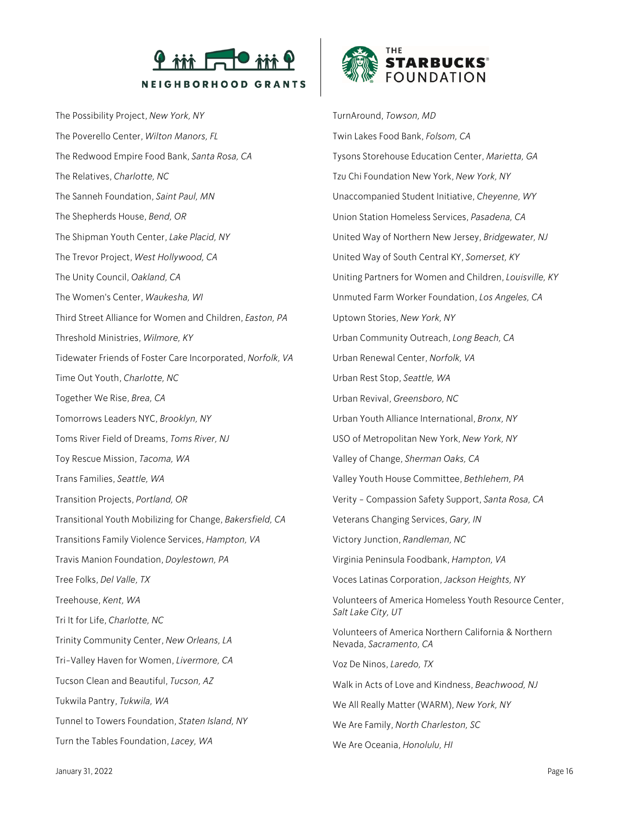

The Possibility Project, *New York, NY* The Poverello Center, *Wilton Manors, FL* The Redwood Empire Food Bank, *Santa Rosa, CA* The Relatives, *Charlotte, NC* The Sanneh Foundation, *Saint Paul, MN* The Shepherds House, *Bend, OR* The Shipman Youth Center, *Lake Placid, NY* The Trevor Project, *West Hollywood, CA* The Unity Council, *Oakland, CA* The Women's Center, *Waukesha, WI* Third Street Alliance for Women and Children, *Easton, PA* Threshold Ministries, *Wilmore, KY* Tidewater Friends of Foster Care Incorporated, *Norfolk, VA* Time Out Youth, *Charlotte, NC* Together We Rise, *Brea, CA* Tomorrows Leaders NYC, *Brooklyn, NY* Toms River Field of Dreams, *Toms River, NJ* Toy Rescue Mission, *Tacoma, WA* Trans Families, *Seattle, WA* Transition Projects, *Portland, OR* Transitional Youth Mobilizing for Change, *Bakersfield, CA* Transitions Family Violence Services, *Hampton, VA* Travis Manion Foundation, *Doylestown, PA* Tree Folks, *Del Valle, TX* Treehouse, *Kent, WA* Tri It for Life, *Charlotte, NC* Trinity Community Center, *New Orleans, LA* Tri-Valley Haven for Women, *Livermore, CA* Tucson Clean and Beautiful, *Tucson, AZ* Tukwila Pantry, *Tukwila, WA* Tunnel to Towers Foundation, *Staten Island, NY* Turn the Tables Foundation, *Lacey, WA*



TurnAround, *Towson, MD* Twin Lakes Food Bank, *Folsom, CA* Tysons Storehouse Education Center, *Marietta, GA* Tzu Chi Foundation New York, *New York, NY* Unaccompanied Student Initiative, *Cheyenne, WY* Union Station Homeless Services, *Pasadena, CA* United Way of Northern New Jersey, *Bridgewater, NJ* United Way of South Central KY, *Somerset, KY* Uniting Partners for Women and Children, *Louisville, KY* Unmuted Farm Worker Foundation, *Los Angeles, CA* Uptown Stories, *New York, NY* Urban Community Outreach, *Long Beach, CA* Urban Renewal Center, *Norfolk, VA* Urban Rest Stop, *Seattle, WA* Urban Revival, *Greensboro, NC* Urban Youth Alliance International, *Bronx, NY* USO of Metropolitan New York, *New York, NY* Valley of Change, *Sherman Oaks, CA* Valley Youth House Committee, *Bethlehem, PA* Verity - Compassion Safety Support, *Santa Rosa, CA* Veterans Changing Services, *Gary, IN* Victory Junction, *Randleman, NC* Virginia Peninsula Foodbank, *Hampton, VA* Voces Latinas Corporation, *Jackson Heights, NY* Volunteers of America Homeless Youth Resource Center, *Salt Lake City, UT* Volunteers of America Northern California & Northern Nevada, *Sacramento, CA* Voz De Ninos, *Laredo, TX* Walk in Acts of Love and Kindness, *Beachwood, NJ* We All Really Matter (WARM), *New York, NY* We Are Family, *North Charleston, SC* We Are Oceania, *Honolulu, HI*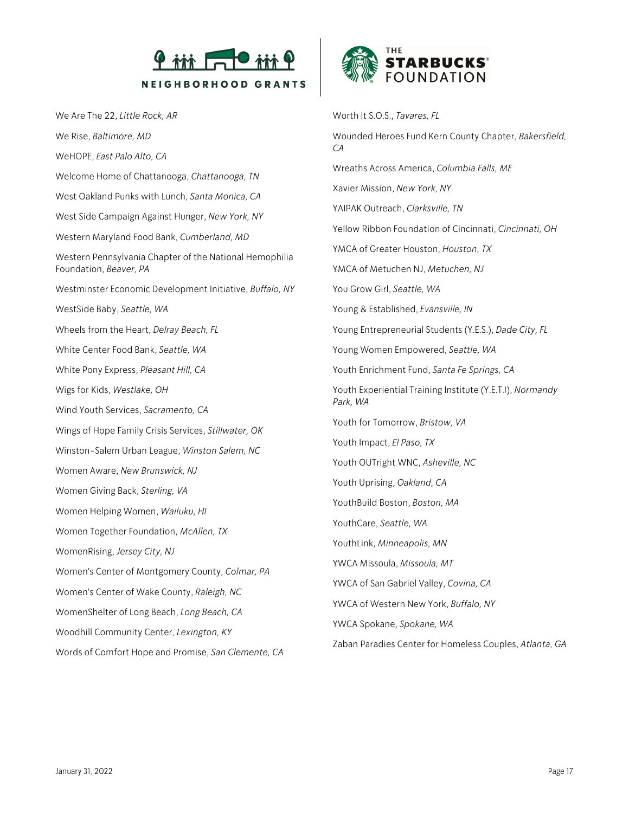

We Are The 22, *Little Rock, AR* We Rise, *Baltimore, MD* WeHOPE, *East Palo Alto, CA* Welcome Home of Chattanooga, *Chattanooga, TN* West Oakland Punks with Lunch, *Santa Monica, CA* West Side Campaign Against Hunger, *New York, NY* Western Maryland Food Bank, *Cumberland, MD* Western Pennsylvania Chapter of the National Hemophilia Foundation, *Beaver, PA* Westminster Economic Development Initiative, *Buffalo, NY* WestSide Baby, *Seattle, WA* Wheels from the Heart, *Delray Beach, FL* White Center Food Bank, *Seattle, WA* White Pony Express, *Pleasant Hill, CA* Wigs for Kids, *Westlake, OH* Wind Youth Services, *Sacramento, CA* Wings of Hope Family Crisis Services, *Stillwater, OK* Winston-Salem Urban League, *Winston Salem, NC* Women Aware, *New Brunswick, NJ* Women Giving Back, *Sterling, VA* Women Helping Women, *Wailuku, HI* Women Together Foundation, *McAllen, TX* WomenRising, *Jersey City, NJ* Women's Center of Montgomery County, *Colmar, PA* Women's Center of Wake County, *Raleigh, NC* WomenShelter of Long Beach, *Long Beach, CA* Woodhill Community Center, *Lexington, KY* Words of Comfort Hope and Promise, *San Clemente, CA*



Worth It S.O.S., *Tavares, FL* Wounded Heroes Fund Kern County Chapter, *Bakersfield, CA* Wreaths Across America, *Columbia Falls, ME* Xavier Mission, *New York, NY* YAIPAK Outreach, *Clarksville, TN* Yellow Ribbon Foundation of Cincinnati, *Cincinnati, OH* YMCA of Greater Houston, *Houston, TX* YMCA of Metuchen NJ, *Metuchen, NJ* You Grow Girl, *Seattle, WA* Young & Established, *Evansville, IN* Young Entrepreneurial Students (Y.E.S.), *Dade City, FL* Young Women Empowered, *Seattle, WA* Youth Enrichment Fund, *Santa Fe Springs, CA* Youth Experiential Training Institute (Y.E.T.I), *Normandy Park, WA* Youth for Tomorrow, *Bristow, VA* Youth Impact, *El Paso, TX* Youth OUTright WNC, *Asheville, NC* Youth Uprising, *Oakland, CA* YouthBuild Boston, *Boston, MA* YouthCare, *Seattle, WA* YouthLink, *Minneapolis, MN* YWCA Missoula, *Missoula, MT* YWCA of San Gabriel Valley, *Covina, CA* YWCA of Western New York, *Buffalo, NY* YWCA Spokane, *Spokane, WA*

Zaban Paradies Center for Homeless Couples, *Atlanta, GA*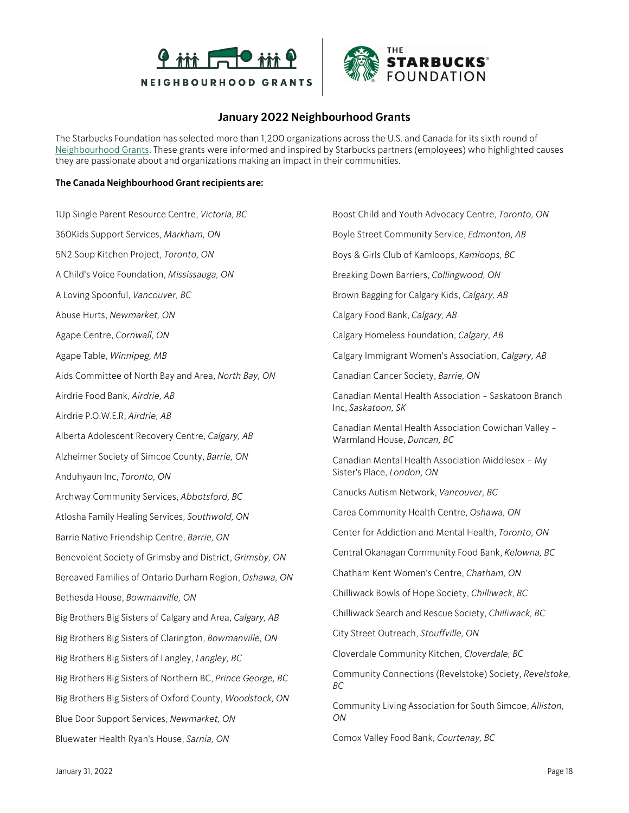



## **January 2022 Neighbourhood Grants**

The Starbucks Foundation has selected more than 1,200 organizations across the U.S. and Canada for its sixth round of [Neighbourhood Grants.](https://stories.starbucks.com/press/2021/strengthening-communities-through-neighborhood-grants/) These grants were informed and inspired by Starbucks partners (employees) who highlighted causes they are passionate about and organizations making an impact in their communities.

## **The Canada Neighbourhood Grant recipients are:**

1Up Single Parent Resource Centre, *Victoria, BC* 360Kids Support Services, *Markham, ON* 5N2 Soup Kitchen Project, *Toronto, ON* A Child's Voice Foundation, *Mississauga, ON* A Loving Spoonful, *Vancouver, BC* Abuse Hurts, *Newmarket, ON* Agape Centre, *Cornwall, ON* Agape Table, *Winnipeg, MB* Aids Committee of North Bay and Area, *North Bay, ON* Airdrie Food Bank, *Airdrie, AB* Airdrie P.O.W.E.R, *Airdrie, AB* Alberta Adolescent Recovery Centre, *Calgary, AB* Alzheimer Society of Simcoe County, *Barrie, ON* Anduhyaun Inc, *Toronto, ON* Archway Community Services, *Abbotsford, BC* Atlosha Family Healing Services, *Southwold, ON* Barrie Native Friendship Centre, *Barrie, ON* Benevolent Society of Grimsby and District, *Grimsby, ON* Bereaved Families of Ontario Durham Region, *Oshawa, ON* Bethesda House, *Bowmanville, ON* Big Brothers Big Sisters of Calgary and Area, *Calgary, AB* Big Brothers Big Sisters of Clarington, *Bowmanville, ON* Big Brothers Big Sisters of Langley, *Langley, BC* Big Brothers Big Sisters of Northern BC, *Prince George, BC* Big Brothers Big Sisters of Oxford County, *Woodstock, ON* Blue Door Support Services, *Newmarket, ON* Bluewater Health Ryan's House, *Sarnia, ON*

Boost Child and Youth Advocacy Centre, *Toronto, ON* Boyle Street Community Service, *Edmonton, AB* Boys & Girls Club of Kamloops, *Kamloops, BC* Breaking Down Barriers, *Collingwood, ON* Brown Bagging for Calgary Kids, *Calgary, AB* Calgary Food Bank, *Calgary, AB* Calgary Homeless Foundation, *Calgary, AB* Calgary Immigrant Women's Association, *Calgary, AB* Canadian Cancer Society, *Barrie, ON* Canadian Mental Health Association - Saskatoon Branch Inc, *Saskatoon, SK* Canadian Mental Health Association Cowichan Valley - Warmland House, *Duncan, BC* Canadian Mental Health Association Middlesex - My Sister's Place, *London, ON* Canucks Autism Network, *Vancouver, BC* Carea Community Health Centre, *Oshawa, ON* Center for Addiction and Mental Health, *Toronto, ON* Central Okanagan Community Food Bank, *Kelowna, BC* Chatham Kent Women's Centre, *Chatham, ON* Chilliwack Bowls of Hope Society, *Chilliwack, BC* Chilliwack Search and Rescue Society, *Chilliwack, BC* City Street Outreach, *Stouffville, ON* Cloverdale Community Kitchen, *Cloverdale, BC* Community Connections (Revelstoke) Society, *Revelstoke, BC* Community Living Association for South Simcoe, *Alliston, ON* Comox Valley Food Bank, *Courtenay, BC*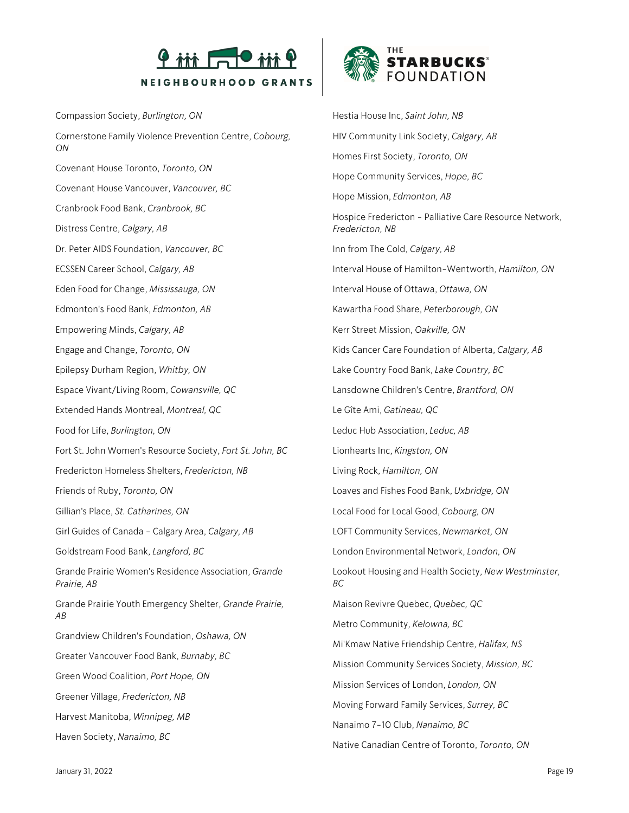

Compassion Society, *Burlington, ON* Cornerstone Family Violence Prevention Centre, *Cobourg, ON* Covenant House Toronto, *Toronto, ON* Covenant House Vancouver, *Vancouver, BC* Cranbrook Food Bank, *Cranbrook, BC* Distress Centre, *Calgary, AB* Dr. Peter AIDS Foundation, *Vancouver, BC* ECSSEN Career School, *Calgary, AB* Eden Food for Change, *Mississauga, ON* Edmonton's Food Bank, *Edmonton, AB* Empowering Minds, *Calgary, AB* Engage and Change, *Toronto, ON* Epilepsy Durham Region, *Whitby, ON* Espace Vivant/Living Room, *Cowansville, QC* Extended Hands Montreal, *Montreal, QC* Food for Life, *Burlington, ON* Fort St. John Women's Resource Society, *Fort St. John, BC* Fredericton Homeless Shelters, *Fredericton, NB* Friends of Ruby, *Toronto, ON* Gillian's Place, *St. Catharines, ON* Girl Guides of Canada - Calgary Area, *Calgary, AB* Goldstream Food Bank, *Langford, BC* Grande Prairie Women's Residence Association, *Grande Prairie, AB* Grande Prairie Youth Emergency Shelter, *Grande Prairie, AB* Grandview Children's Foundation, *Oshawa, ON* Greater Vancouver Food Bank, *Burnaby, BC* Green Wood Coalition, *Port Hope, ON* Greener Village, *Fredericton, NB* Harvest Manitoba, *Winnipeg, MB* Haven Society, *Nanaimo, BC*



Hestia House Inc, *Saint John, NB* HIV Community Link Society, *Calgary, AB* Homes First Society, *Toronto, ON* Hope Community Services, *Hope, BC* Hope Mission, *Edmonton, AB* Hospice Fredericton - Palliative Care Resource Network, *Fredericton, NB* Inn from The Cold, *Calgary, AB* Interval House of Hamilton-Wentworth, *Hamilton, ON* Interval House of Ottawa, *Ottawa, ON* Kawartha Food Share, *Peterborough, ON* Kerr Street Mission, *Oakville, ON* Kids Cancer Care Foundation of Alberta, *Calgary, AB* Lake Country Food Bank, *Lake Country, BC* Lansdowne Children's Centre, *Brantford, ON* Le Gîte Ami, *Gatineau, QC* Leduc Hub Association, *Leduc, AB* Lionhearts Inc, *Kingston, ON* Living Rock, *Hamilton, ON* Loaves and Fishes Food Bank, *Uxbridge, ON* Local Food for Local Good, *Cobourg, ON* LOFT Community Services, *Newmarket, ON* London Environmental Network, *London, ON* Lookout Housing and Health Society, *New Westminster, BC* Maison Revivre Quebec, *Quebec, QC* Metro Community, *Kelowna, BC* Mi'Kmaw Native Friendship Centre, *Halifax, NS* Mission Community Services Society, *Mission, BC* Mission Services of London, *London, ON* Moving Forward Family Services, *Surrey, BC* Nanaimo 7-10 Club, *Nanaimo, BC* Native Canadian Centre of Toronto, *Toronto, ON*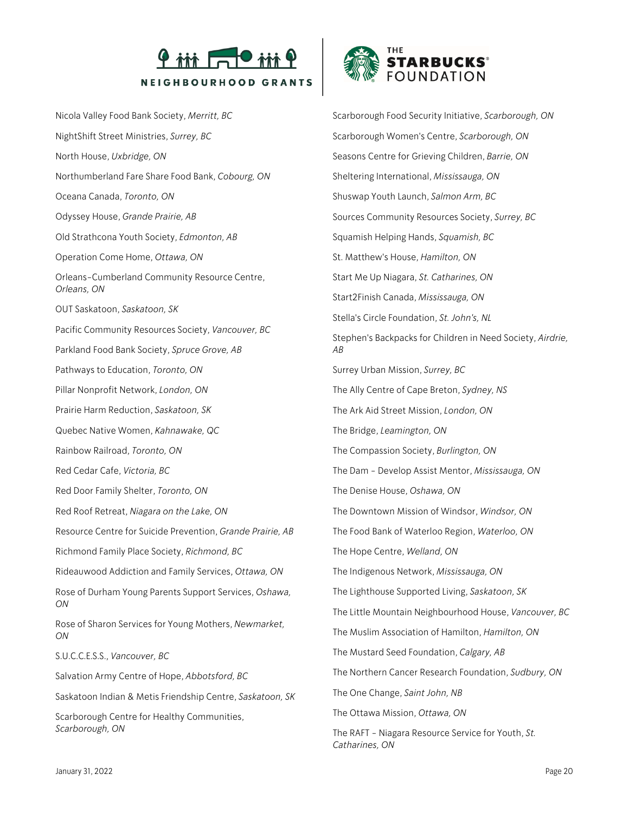

Nicola Valley Food Bank Society, *Merritt, BC* NightShift Street Ministries, *Surrey, BC* North House, *Uxbridge, ON* Northumberland Fare Share Food Bank, *Cobourg, ON* Oceana Canada, *Toronto, ON* Odyssey House, *Grande Prairie, AB* Old Strathcona Youth Society, *Edmonton, AB* Operation Come Home, *Ottawa, ON* Orleans-Cumberland Community Resource Centre, *Orleans, ON* OUT Saskatoon, *Saskatoon, SK* Pacific Community Resources Society, *Vancouver, BC* Parkland Food Bank Society, *Spruce Grove, AB* Pathways to Education, *Toronto, ON* Pillar Nonprofit Network, *London, ON* Prairie Harm Reduction, *Saskatoon, SK* Quebec Native Women, *Kahnawake, QC* Rainbow Railroad, *Toronto, ON* Red Cedar Cafe, *Victoria, BC* Red Door Family Shelter, *Toronto, ON* Red Roof Retreat, *Niagara on the Lake, ON* Resource Centre for Suicide Prevention, *Grande Prairie, AB* Richmond Family Place Society, *Richmond, BC* Rideauwood Addiction and Family Services, *Ottawa, ON* Rose of Durham Young Parents Support Services, *Oshawa, ON* Rose of Sharon Services for Young Mothers, *Newmarket, ON* S.U.C.C.E.S.S., *Vancouver, BC* Salvation Army Centre of Hope, *Abbotsford, BC* Saskatoon Indian & Metis Friendship Centre, *Saskatoon, SK* Scarborough Centre for Healthy Communities, *Scarborough, ON*



Scarborough Food Security Initiative, *Scarborough, ON* Scarborough Women's Centre, *Scarborough, ON* Seasons Centre for Grieving Children, *Barrie, ON* Sheltering International, *Mississauga, ON* Shuswap Youth Launch, *Salmon Arm, BC* Sources Community Resources Society, *Surrey, BC* Squamish Helping Hands, *Squamish, BC* St. Matthew's House, *Hamilton, ON* Start Me Up Niagara, *St. Catharines, ON* Start2Finish Canada, *Mississauga, ON* Stella's Circle Foundation, *St. John's, NL* Stephen's Backpacks for Children in Need Society, *Airdrie, AB* Surrey Urban Mission, *Surrey, BC* The Ally Centre of Cape Breton, *Sydney, NS* The Ark Aid Street Mission, *London, ON* The Bridge, *Leamington, ON* The Compassion Society, *Burlington, ON* The Dam - Develop Assist Mentor, *Mississauga, ON* The Denise House, *Oshawa, ON* The Downtown Mission of Windsor, *Windsor, ON* The Food Bank of Waterloo Region, *Waterloo, ON* The Hope Centre, *Welland, ON* The Indigenous Network, *Mississauga, ON* The Lighthouse Supported Living, *Saskatoon, SK* The Little Mountain Neighbourhood House, *Vancouver, BC* The Muslim Association of Hamilton, *Hamilton, ON* The Mustard Seed Foundation, *Calgary, AB* The Northern Cancer Research Foundation, *Sudbury, ON* The One Change, *Saint John, NB* The Ottawa Mission, *Ottawa, ON* The RAFT - Niagara Resource Service for Youth, *St.* 

*Catharines, ON*